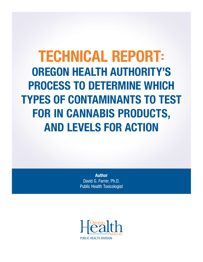# TECHNICAL REPORT: OREGON HEALTH AUTHORITY'S PROCESS TO DETERMINE WHICH TYPES OF CONTAMINANTS TO TEST FOR IN CANNABIS PRODUCTS, AND LEVELS FOR ACTION

Author David G. Farrer, Ph.D. Public Health Toxicologist

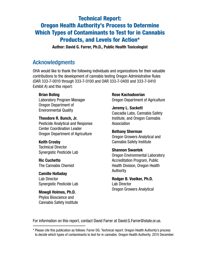### Technical Report: Oregon Health Authority's Process to Determine Which Types of Contaminants to Test for in Cannabis Products, and Levels for Action\*

Author: David G. Farrer, Ph.D., Public Health Toxicologist

### Acknowledgments

OHA would like to thank the following individuals and organizations for their valuable contributions to the development of cannabis testing Oregon Administrative Rules (OAR 333-7-0010 through 333-7-0100 and OAR 333-7-0400 and 333-7-0410 Exhibit A) and this report:

### Brian Boling

Laboratory Program Manager Oregon Department of Environmental Quality

#### Theodore R. Bunch, Jr.

Pesticide Analytical and Response Center Coordination Leader Oregon Department of Agriculture

#### Keith Crosby

Technical Director Synergistic Pesticide Lab

### Ric Cuchetto The Cannabis Chemist

Camille Holladay Lab Director Synergistic Pesticide Lab

Mowgli Holmes, Ph.D. Phylos Bioscience and Cannabis Safety Institute Rose Kachadoorian Oregon Department of Agriculture

Jeremy L. Sackett Cascadia Labs, Cannabis Safety Institute, and Oregon Cannabis Association

#### Bethany Sherman Oregon Growers Analytical and Cannabis Safety Institute

### Shannon Swantek

Oregon Environmental Laboratory Accreditation Program, Public Health Division, Oregon Health Authority

#### Rodger B. Voelker, Ph.D.

Lab Director Oregon Growers Analytical

For information on this report, contact David Farrer at [David.G.Farrer@state.or.us.](mailto:David.G.Farrer%40state.or.us?subject=)

<sup>\*</sup> Please cite this publication as follows: Farrer DG. Technical report: Oregon Health Authority's process to decide which types of contaminants to test for in cannabis. Oregon Health Authority. 2015 December.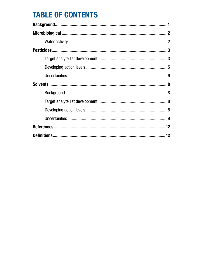## **TABLE OF CONTENTS**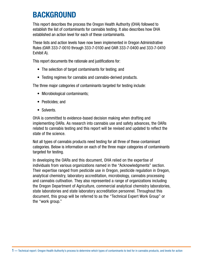## <span id="page-3-0"></span>BACKGROUND

This report describes the process the Oregon Health Authority (OHA) followed to establish the list of contaminants for cannabis testing. It also describes how OHA established an action level for each of these contaminants.

These lists and action levels have now been implemented in Oregon Administrative Rules (OAR 333-7-0010 through 333-7-0100 and OAR 333-7-0400 and 333-7-0410 Exhibit A).

This report documents the rationale and justifications for:

- The selection of target contaminants for testing; and
- Testing regimes for cannabis and cannabis-derived products.

The three major categories of contaminants targeted for testing include:

- Microbiological contaminants;
- Pesticides; and
- Solvents.

OHA is committed to evidence-based decision making when drafting and implementing OARs. As research into cannabis use and safety advances, the OARs related to cannabis testing and this report will be revised and updated to reflect the state of the science.

Not all types of cannabis products need testing for all three of these contaminant categories. Below is information on each of the three major categories of contaminants targeted for testing.

In developing the OARs and this document, OHA relied on the expertise of individuals from various organizations named in the "Acknowledgments" section. Their expertise ranged from pesticide use in Oregon, pesticide regulation in Oregon, analytical chemistry, laboratory accreditation, microbiology, cannabis processing and cannabis cultivation. They also represented a range of organizations including the Oregon Department of Agriculture, commercial analytical chemistry laboratories, state laboratories and state laboratory accreditation personnel. Throughout this document, this group will be referred to as the "Technical Expert Work Group" or the "work group."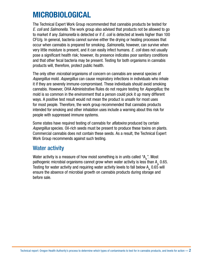## <span id="page-4-0"></span>MICROBIOLOGICAL

The Technical Expert Work Group recommended that cannabis products be tested for *E. coli* and *Salmonella.* The work group also advised that products not be allowed to go to market if any *Salmonella* is detected or if *E. coli* is detected at levels higher than 100 CFU/g. In general, bacteria cannot survive either the drying or heating processes that occur when cannabis is prepared for smoking. *Salmonella,* however, can survive when very little moisture is present, and it can easily infect humans. *E. coli* does not usually pose a significant health risk; however, its presence indicates poor sanitary conditions and that other fecal bacteria may be present. Testing for both organisms in cannabis products will, therefore, protect public health.

The only other *microbial* organisms of concern on cannabis are several species of *Aspergillus* mold. *Aspergillus* can cause respiratory infections in individuals who inhale it if they are severely immune-compromised. These individuals should avoid smoking cannabis. However, OHA Administrative Rules do not require testing for *Aspergillus;* the mold is so common in the environment that a person could pick it up many different ways. A positive test result would not mean the product is unsafe for most uses for most people. Therefore, the work group recommended that cannabis products intended for smoking and other inhalation uses include a warning about this risk for people with suppressed immune systems.

Some states have required testing of cannabis for *aflatoxins* produced by certain *Aspergillus* species. Oil-rich seeds must be present to produce these toxins on plants. Commercial cannabis does not contain these seeds. As a result, the Technical Expert Work Group recommends against such testing.

### Water activity

Water activity is a measure of how moist something is in units called " $A_{w}$ ". Most pathogenic microbial organisms cannot grow when water activity is less than  $A_{\mu}$  0.65. Testing for water activity and requiring water activity levels to fall below  $A_{w}$  0.65 will ensure the absence of microbial growth on cannabis products during storage and before sale.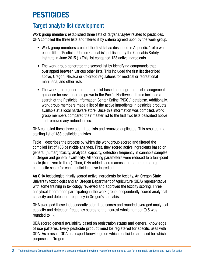## <span id="page-5-0"></span>PESTICIDES

### Target analyte list development

Work group members established three lists of *target analytes* related to pesticides. OHA compiled the three lists and filtered it by criteria agreed upon by the work group.

- Work group members created the first list as described in Appendix 1 of a white paper titled "Pesticide Use on Cannabis" published by the Cannabis Safety Institute in June 2015.(1) This list contained 123 active ingredients.
- The work group generated the second list by identifying compounds that overlapped between various other lists. This included the first list described above; Oregon, Nevada or Colorado regulations for medical or recreational marijuana; and other lists.
- The work group generated the third list based on integrated pest management guidance for several crops grown in the Pacific Northwest. It also included a search of the Pesticide Information Center Online (PICOL) database. Additionally, work group members made a list of the active ingredients in pesticide products available at a local hardware store. Once this information was compiled, work group members compared their master list to the first two lists described above and removed any redundancies.

OHA compiled these three submitted lists and removed duplicates. This resulted in a starting list of 188 pesticide analytes.

Table 1 describes the process by which the work group scored and filtered the compiled list of 188 pesticide analytes. First, they scored active ingredients based on general (human) toxicity, analytical capacity, detection frequency in cannabis samples in Oregon and general availability. All scoring parameters were reduced to a four-point scale (from zero to three). Then, OHA added scores across the parameters to get a composite score for each pesticide active ingredient.

An OHA toxicologist initially scored active ingredients for toxicity. An Oregon State University toxicologist and an Oregon Department of Agriculture (ODA) representative with some training in toxicology reviewed and approved the toxicity scoring. Three analytical laboratories participating in the work group independently scored analytical capacity and detection frequency in Oregon's cannabis.

OHA averaged these independently submitted scores and rounded averaged analytical capacity and detection frequency scores to the nearest whole number (0.5 was rounded to 1).

ODA scored general availability based on registration status and general knowledge of use patterns. Every pesticide product must be registered for specific uses with ODA. As a result, ODA has expert knowledge on which pesticides are used for which purposes in Oregon.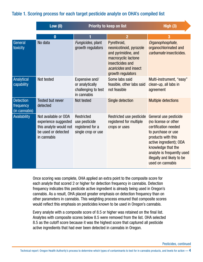### Table 1. Scoring process for each target pesticide analyte on OHA's compiled list

|                                                | Low $(0)$                                                                                                    | <b>Priority to keep on list</b>                                         | High $(3)$                                                                                                                                                    |                                                                                                                                                                                                                                                    |
|------------------------------------------------|--------------------------------------------------------------------------------------------------------------|-------------------------------------------------------------------------|---------------------------------------------------------------------------------------------------------------------------------------------------------------|----------------------------------------------------------------------------------------------------------------------------------------------------------------------------------------------------------------------------------------------------|
|                                                | $\bf{0}$                                                                                                     |                                                                         | $\overline{2}$                                                                                                                                                | 3                                                                                                                                                                                                                                                  |
| General<br>toxicity                            | No data                                                                                                      | Fungicides, plant<br>growth regulators                                  | Pyrethroid,<br>neonicotinoid, pyrazole<br>and pyrimidine, and<br>macrocyclic lactone<br>insecticides and<br><i>acaricides</i> and insect<br>growth regulators | Organophosphate,<br>organochlorinated and<br>carbamate insecticides.                                                                                                                                                                               |
| Analytical<br>capability                       | Not tested                                                                                                   | Expensive and/<br>or analytically<br>challenging to test<br>in cannabis | Some labs said<br>feasible, other labs said<br>not feasible                                                                                                   | Multi-instrument, "easy"<br>clean-up, all labs in<br>agreement                                                                                                                                                                                     |
| <b>Detection</b><br>frequency<br>(in cannabis) | <b>Tested but never</b><br>detected                                                                          | Not tested                                                              | Single detection                                                                                                                                              | <b>Multiple detections</b>                                                                                                                                                                                                                         |
| Availability                                   | Not available or ODA<br>experience suggested<br>this analyte would not<br>be used or detected<br>in cannabis | Restricted<br>use pesticide<br>registered for a<br>single crop or use   | Restricted use pesticide<br>registered for multiple<br>crops or uses                                                                                          | General use pesticide<br>(no license or other<br>certification needed<br>to purchase or use<br>products with this<br>active ingredient); ODA<br>knowledge that the<br>analyte is frequently used<br>illegally and likely to be<br>used on cannabis |

Once scoring was complete, OHA applied an extra point to the composite score for each analyte that scored 2 or higher for detection frequency in cannabis. Detection frequency indicates this pesticide active ingredient is already being used in Oregon's cannabis. As a result, OHA placed greater emphasis on detection frequency than on other parameters in cannabis. This weighting process ensured that composite scores would reflect this emphasis on pesticides known to be used in Oregon's cannabis.

Every analyte with a composite score of 8.5 or higher was retained on the final list. Analytes with composite scores below 8.5 were removed from the list. OHA selected 8.5 as the cutoff score because it was the highest score that captured all pesticide active ingredients that had ever been detected in cannabis in Oregon.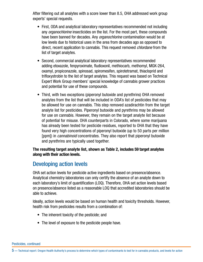<span id="page-7-0"></span>After filtering out all analytes with a score lower than 8.5, OHA addressed work group experts' special requests.

- First, ODA and analytical laboratory representatives recommended not including any *organochlorine* insecticides on the list. For the most part, these compounds have been banned for decades. Any *organochlorine* contamination would be at low levels due to historical uses in the area from decades ago as opposed to direct, recent application to cannabis. This request removed *chlordane* from the list of target analytes.
- Second, commercial analytical laboratory representatives recommended adding etoxazole, fenpyroximate, fludioxonil, methiocarb, methomyl, MGK-264, oxamyl, propiconazole, spinosad, spiromesifen, spirotetramat, thiacloprid and trifloxystrobin to the list of target analytes. This request was based on Technical Expert Work Group members' special knowledge of cannabis grower practices and potential for use of these compounds.
- Third, with two exceptions (piperonyl butoxide and pyrethrins) OHA removed analytes from the list that will be included in ODA's list of pesticides that may be allowed for use on cannabis. This step removed azadirachtin from the target analyte list for pesticides. Piperonyl butoxide and pyrethrins may be allowed for use on cannabis. However, they remain on the target analyte list because of potential for misuse. OHA counterparts in Colorado, where some marijuana has already been tested for pesticide residues, reported to OHA that they have found very high concentrations of piperonyl butoxide (up to 50 parts per million [ppm]) in *cannabinoid* concentrates. They also report that piperonyl butoxide and pyrethrins are typically used together.

The resulting target analyte list, shown as Table 2, includes 59 target analytes along with their action levels.

### Developing action levels

OHA set action levels for pesticide active ingredients based on presence/absence. Analytical chemistry laboratories can only certify the absence of an analyte down to each laboratory's limit of quantification (LOQ). Therefore, OHA set action levels based on presence/absence listed as a reasonable LOQ that accredited laboratories should be able to achieve.

Ideally, action levels would be based on human health and toxicity thresholds. However, health risk from pesticides results from a combination of:

- The inherent toxicity of the pesticide; and
- The level of exposure to the pesticide people have.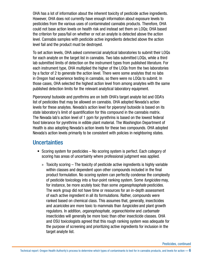<span id="page-8-0"></span>OHA has a lot of information about the inherent toxicity of pesticide active ingredients. However, OHA does not currently have enough information about exposure levels to pesticides from the various uses of contaminated cannabis products. Therefore, OHA could not base action levels on health risk and instead set them on LOQs; OHA based the criterion for pass/fail on whether or not an analyte is detected above the action level. Cannabis samples with pesticide active ingredients detected above the action level fail and the product must be destroyed.

To set action levels, OHA asked commercial analytical laboratories to submit their LOQs for each analyte on the target list in cannabis. Two labs submitted LOQs, while a third lab submitted limits of detection on the instrument types from published literature. For each instrument type, OHA multiplied the higher of the LOQs from the two laboratories by a factor of 2 to generate the action level. There were some analytes that no labs in Oregon had experience testing in cannabis, so there were no LOQs to submit. In those cases, OHA selected the highest action level from among analytes with the same published detection limits for the relevant analytical laboratory equipment.

Piperononyl butoxide and pyrethrins are on both OHA's target analyte list and ODA's list of pesticides that may be allowed on cannabis. OHA adopted Nevada's action levels for these analytes. Nevada's action level for piperonyl butoxide is based on its state laboratory's limit of quantification for this compound in the cannabis matrix. The Nevada lab's action level of 1 ppm for pyrethrins is based on the lowest federal food tolerance for pyrethrins in edible plant material. The Washington Department of Health is also adopting Nevada's action levels for these two compounds. OHA adopted Nevada's action levels primarily to be consistent with policies in neighboring states.

### **Uncertainties**

- Scoring system for pesticides No scoring system is perfect. Each category of scoring has areas of uncertainty where professional judgment was applied.
	- » Toxicity scoring The toxicity of pesticide active ingredients is highly variable within classes and dependent upon other compounds included in the final product formulation. No scoring system can perfectly condense the complexity of pesticide toxicology into a four-point ranking system. Some *fungicides* may, for instance, be more acutely toxic than some *organophosphate* pesticides. The work group did not have time or resources for an in-depth assessment of each active ingredient in all its formulations. Rather, compounds were ranked based on chemical class. This assumes that, generally, insecticides and *acaricides* are more toxic to mammals than *fungicides* and plant growth regulators. In addition, *organophosphate*, *organochlorine* and *carbamate* insecticides will generally be more toxic than other insecticide classes. OHA and OSU toxicologists agreed that this rough ranking system was adequate for the purpose of screening and prioritizing active ingredients for inclusion in the target analyte list.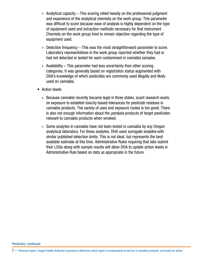- » Analytical capacity This scoring relied heavily on the professional judgment and experience of the analytical chemists on the work group. This parameter was difficult to score because ease of analysis is highly dependent on the type of equipment used and extraction methods necessary for that instrument. Chemists on the work group tried to remain objective regarding the type of equipment used.
- » Detection frequency This was the most straightforward parameter to score. Laboratory representatives in the work group reported whether they had or had not detected or tested for each contaminant in cannabis samples.
- » Availability This parameter had less uncertainty than other scoring categories. It was generally based on registration status augmented with ODA's knowledge of which pesticides are commonly used illegally and likely used on cannabis.
- Action levels
	- » Because cannabis recently became legal in three states, scant research exists on exposure to establish toxicity-based tolerances for pesticide residues in cannabis products. The variety of uses and exposure routes is too great. There is also not enough information about the *pyrolysis* products of target pesticides relevant to cannabis products when smoked.
	- » Some analytes in cannabis have not been tested in cannabis by any Oregon analytical laboratory. For these analytes, OHA used *surrogate analytes* with similar published detection limits. This is not ideal, but represents the best available estimate at this time. Administrative Rules requiring that labs submit their LOQs along with sample results will allow OHA to update action levels in Administrative Rule based on data as appropriate in the future.

7 — Technical report: Oregon Health Authority's process to determine which types of contaminants to test for in cannabis products, and levels for action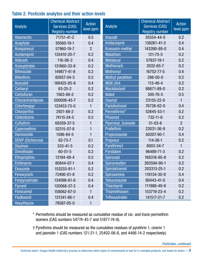### Table 2. Pesticide analytes and their action levels

|                          | <b>Chemical Abstract</b> | <b>Action</b><br>level ppm | Analyte                 | <b>Chemical Abstract</b> | <b>Action</b><br>level ppm |
|--------------------------|--------------------------|----------------------------|-------------------------|--------------------------|----------------------------|
| Analyte                  | <b>Services (CAS)</b>    |                            |                         | <b>Services (CAS)</b>    |                            |
|                          | <b>Registry number</b>   |                            |                         | <b>Registry number</b>   |                            |
| Abamectin                | 71751-41-2               | 0.5                        | <b>Imazalil</b>         | 35554-44-0               | 0.2                        |
| Acephate                 | 30560-19-1               | 0.4                        | Imidacloprid            | 138261-41-3              | 0.4                        |
| <b>Acequinocyl</b>       | 57960-19-7               | $\overline{2}$             | Kresoxim-methyl         | 143390-89-0              | 0.4                        |
| Acetamiprid              | 135410-20-7              | 0.2                        | <b>Malathion</b>        | $121 - 75 - 5$           | 0.2                        |
| <b>Aldicarb</b>          | 116-06-3                 | 0.4                        | Metalaxyl               | 57837-19-1               | 0.2                        |
| Azoxystrobin             | 131860-33-8              | 0.2                        | <b>Methiocarb</b>       | 2032-65-7                | 0.2                        |
| <b>Bifenazate</b>        | 149877-41-8              | 0.2                        | Methomyl                | 16752-77-5               | 0.4                        |
| <b>Bifenthrin</b>        | 82657-04-3               | 0.2                        | <b>Methyl parathion</b> | $298 - 00 - 0$           | 0.2                        |
| <b>Boscalid</b>          | 188425-85-6              | 0.4                        | <b>MGK-264</b>          | $113 - 48 - 4$           | 0.2                        |
| Carbaryl                 | $63 - 25 - 2$            | 0.2                        | Myclobutanil            | 88671-89-0               | 0.2                        |
| Carbofuran               | 1563-66-2                | 0.2                        | <b>Naled</b>            | $300 - 76 - 5$           | 0.5                        |
| Chlorantraniliprole      | 500008-45-7              | 0.2                        | <b>Oxamyl</b>           | 23135-22-0               |                            |
| Chlorfenapyr             | 122453-73-0              | 1                          | Paclobutrazol           | 76738-62-0               | 0.4                        |
| <b>Chlorpyrifos</b>      | 2921-88-2                | 0.2                        | Permethrins*            | 52645-53-1               | 0.2                        |
| Clofentezine             | 74115-24-5               | 0.2                        | Phosmet                 | $732 - 11 - 6$           | 0.2                        |
| Cyfluthrin               | 68359-37-5               | 1                          | Piperonyl_butoxide      | $51 - 03 - 6$            | $\overline{2}$             |
| Cypermethrin             | 52315-07-8               | 1                          | Prallethrin             | 23031-36-9               | 0.2                        |
| <b>Daminozide</b>        | 1596-84-5                | 1                          | Propiconazole           | 60207-90-1               | 0.4                        |
| <b>DDVP</b> (Dichlorvos) | 62-73-7                  | 0.1                        | Propoxur                | $114 - 26 - 1$           | 0.2                        |
| <b>Diazinon</b>          | $333 - 41 - 5$           | 0.2                        | Pyrethrins†             | 8003-34-7                | 1                          |
| <b>Dimethoate</b>        | $60 - 51 - 5$            | 0.2                        | Pyridaben               | 96489-71-3               | 0.2                        |
| <b>Ethoprophos</b>       | 13194-48-4               | 0.2                        | Spinosad                | 168316-95-8              | 0.2                        |
| Etofenprox               | 80844-07-1               | 0.4                        | Spiromesifen            | 283594-90-1              | 0.2                        |
| <b>Etoxazole</b>         | 153233-91-1              | 0.2                        | Spirotetramat           | 203313-25-1              | 0.2                        |
| Fenoxycarb               | 72490-01-8               | 0.2                        | Spiroxamine             | 118134-30-8              | 0.4                        |
| Fenpyroximate            | 134098-61-6              | 0.4                        | Tebuconazole            | 80443-41-0               | 0.4                        |
| <b>Fipronil</b>          | 120068-37-3              | 0.4                        | <b>Thiacloprid</b>      | 111988-49-9              | 0.2                        |
| Flonicamid               | 158062-67-0              | 1                          | Thiamethoxam            | 153719-23-4              | 0.2                        |
| Fludioxonil              | 131341-86-1              | 0.4                        | Trifloxystrobin         | 141517-21-7              | 0.2                        |
| Hexythiazox              | 78587-05-0               | 1                          |                         |                          |                            |

\* Permethrins should be measured as cumulative residue of cis- and trans-permethrin isomers (CAS numbers 54774-45-7 and 51877-74-8).

† Pyrethrins should be measured as the cumulative residues of pyrethrin 1, cinerin 1 and jasmolin 1 (CAS numbers 121-21-1, 25402-06-6, and 4466-14-2 respectively).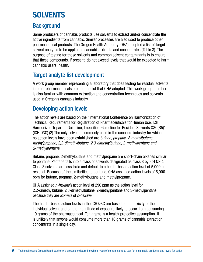## <span id="page-11-0"></span>**SOLVENTS**

### **Background**

Some producers of cannabis products use solvents to extract and/or concentrate the active ingredients from cannabis. Similar processes are also used to produce other pharmaceutical products. The Oregon Health Authority (OHA) adopted a list of target solvent analytes to be applied to cannabis extracts and concentrates (Table 3). The purpose of testing for these solvents and common solvent contaminants is to ensure that these compounds, if present, do not exceed levels that would be expected to harm cannabis users' health.

### Target analyte list development

A work group member representing a laboratory that does testing for residual solvents in other pharmaceuticals created the list that OHA adopted. This work group member is also familiar with common extraction and concentration techniques and solvents used in Oregon's cannabis industry.

### Developing action levels

The action levels are based on the "International Conference on Harmonization of Technical Requirements for Registration of Pharmaceuticals for Human Use, ICH Harmonized Tripartite Guideline, Impurities: Guideline for Residual Solvents Q3C(R5)" (ICH Q3C).(2) The only solvents commonly used in the cannabis industry for which no action levels have been established are *butane, propane, 2-methylbutane, methylpropane, 2,2-dimethylbutane, 2,3-dimethylbutane, 2-methylpentane and 3-methylpentane.* 

Butane, propane, 2-methylbutane and methylpropane are short-chain alkanes similar to pentane. Pentane falls into a class of solvents designated as class 3 by ICH Q3C. Class 3 solvents are less toxic and default to a health-based action level of 5,000 ppm residual. Because of the similarities to pentane, OHA assigned action levels of 5,000 ppm for butane, propane, 2-methylbutane and methylpropane.

OHA assigned *n-hexane's* action level of 290 ppm as the action level for 2,2-dimethylbutane, 2,3-dimethylbutane, 2-methylpentane and 3-methylpentane because they are *isomers* of *n-hexane*.

The health-based action levels in the ICH Q3C are based on the toxicity of the individual solvent and on the magnitude of exposure likely to occur from consuming 10 grams of the pharmaceutical. Ten grams is a health-protective assumption. It is unlikely that anyone would consume more than 10 grams of cannabis extract or concentrate in a single day.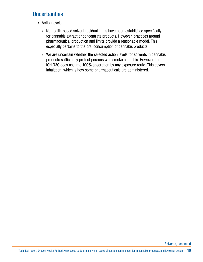### <span id="page-12-0"></span>**Uncertainties**

- Action levels
	- » No health-based solvent residual limits have been established specifically for cannabis extract or concentrate products. However, practices around pharmaceutical production and limits provide a reasonable model. This especially pertains to the oral consumption of cannabis products.
	- » We are uncertain whether the selected action levels for solvents in cannabis products sufficiently protect persons who smoke cannabis. However, the ICH Q3C does assume 100% absorption by any exposure route. This covers inhalation, which is how some pharmaceuticals are administered.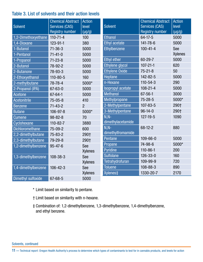### Table 3. List of solvents and their action levels

|                        | <b>Chemical Abstract</b> | <b>Action</b>  |                          | <b>Chemical Abstract</b> | <b>Action</b>  |
|------------------------|--------------------------|----------------|--------------------------|--------------------------|----------------|
| <b>Solvent</b>         | <b>Services (CAS)</b>    | level          | <b>Solvent</b>           | <b>Services (CAS)</b>    | level          |
|                        | <b>Registry number</b>   | $(\mu g/g)$    |                          | <b>Registry number</b>   | $(\mu g/g)$    |
| 1,2-Dimethoxyethane    | $110 - 71 - 4$           | 100            | <b>Ethanol</b>           | 64-17-5                  | 5000           |
| 1,4-Dioxane            | 123-91-1                 | 380            | <b>Ethyl acetate</b>     | 141-78-6                 | 5000           |
| 1-Butanol              | $71 - 36 - 3$            | 5000           | Ethylbenzene             | $100 - 41 - 4$           | See            |
| 1-Pentanol             | $71 - 41 - 0$            | 5000           |                          |                          | <b>Xylenes</b> |
| 1-Propanol             | $71 - 23 - 8$            | 5000           | <b>Ethyl ether</b>       | 60-29-7                  | 5000           |
| 2-Butanol              | 78-92-2                  | 5000           | Ethylene glycol          | $107 - 21 - 1$           | 620            |
| 2-Butanone             | 78-93-3                  | 5000           | <b>Ethylene Oxide</b>    | $75 - 21 - 8$            | 50             |
| 2-Ethoxyethanol        | $110 - 80 - 5$           | 160            | Heptane                  | 142-82-5                 | 5000           |
| 2-methylbutane         | 78-78-4                  | 5000*          | n-Hexane                 | $110 - 54 - 3$           | 290            |
| 2-Propanol (IPA)       | 67-63-0                  | 5000           | <b>Isopropyl</b> acetate | $108 - 21 - 4$           | 5000           |
| <b>Acetone</b>         | 67-64-1                  | 5000           | <b>Methanol</b>          | $67 - 56 - 1$            | 3000           |
| <b>Acetonitrile</b>    | $75 - 05 - 8$            | 410            | Methylpropane            | $75 - 28 - 5$            | 5000*          |
| <b>Benzene</b>         | $71 - 43 - 2$            | $\overline{2}$ | 2-Methylpentane          | $107 - 83 - 5$           | 290+           |
| <b>Butane</b>          | 106-97-8                 | 5000*          | 3-Methylpentane          | $96 - 14 - 0$            | 290+           |
| <b>Cumene</b>          | $98 - 82 - 8$            | 70             | $N.N-$                   | $127 - 19 - 5$           | 1090           |
| Cyclohexane            | $110 - 82 - 7$           | 3880           | dimethylacetamide        |                          |                |
| <b>Dichloromethane</b> | 75-09-2                  | 600            | $N, N-$                  | 68-12-2                  | 880            |
| 2,2-dimethylbutane     | $75 - 83 - 2$            | 290†           | dimethylfromamide        |                          |                |
| 2,3-dimethylbutane     | 79-29-8                  | 290†           | Pentane                  | $109 - 66 - 0$           | 5000           |
| 1,2-dimethylbenzene    | $95 - 47 - 6$            | See            | Propane                  | 74-98-6                  | 5000*          |
|                        |                          | <b>Xylenes</b> | Pyridine                 | $110 - 86 - 1$           | 200            |
| 1,3-dimethylbenzene    | $108 - 38 - 3$           | See            | <b>Sulfolane</b>         | $126 - 33 - 0$           | 160            |
|                        |                          | <b>Xylenes</b> | <b>Tetrahydrofuran</b>   | 109-99-9                 | 720            |
| 1,4-dimethylbenzene    | $106 - 42 - 3$           | See            | <b>Toluene</b>           | 108-88-3                 | 890            |
|                        |                          | <b>Xylenes</b> | Xylenes <sup>‡</sup>     | 1330-20-7                | 2170           |
| Dimethyl sulfoxide     | 67-68-5                  | 5000           |                          |                          |                |

- \* Limit based on similarity to pentane.
- † Limit based on similarity with n-hexane.
- ‡ Combination of: 1,2-dimethylbenzene, 1,3-dimethylbenzene, 1,4-dimethylbenzene, and ethyl benzene.

Solvents, continued

11 — Technical report: Oregon Health Authority's process to determine which types of contaminants to test for in cannabis products, and levels for action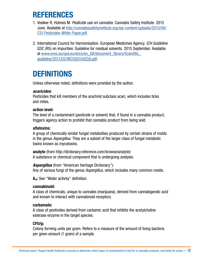## <span id="page-14-0"></span>**REFERENCES**

- 1. Voelker R, Holmes M. *Pesticide use on cannabis.* Cannabis Safety Institute. 2015 June. Available at [http://cannabissafetyinstitute.org/wp-content/uploads/2015/06/](http://cannabissafetyinstitute.org/wp-content/uploads/2015/06/CSI-Pesticides-White-Paper.pdf) [CSI-Pesticides-White-Paper.pdf.](http://cannabissafetyinstitute.org/wp-content/uploads/2015/06/CSI-Pesticides-White-Paper.pdf)
- 2. International Council for Harmonisation. European Medicines Agency. *ICH Guideline* Q3C (R5) on impurities: Guideline for residual solvents. 2015 September. Available at [www.ema.europa.eu/docs/en\\_GB/document\\_library/Scientific\\_](www.ema.europa.eu/docs/en_GB/document_library/Scientific_guideline/2011/03/WC500104258.pdf) [guideline/2011/03/WC500104258.pdf](www.ema.europa.eu/docs/en_GB/document_library/Scientific_guideline/2011/03/WC500104258.pdf).

## **DEFINITIONS**

Unless otherwise noted, definitions were provided by the author.

### *acaricides*:

Pesticides that kill members of the arachnid subclass acari, which includes ticks and mites.

### action level:

The level of a contaminant (pesticide or solvent) that, if found in a cannabis product, triggers agency action to prohibit that cannabis product from being sold.

### aflatoxins:

A group of chemically similar fungal metabolites produced by certain strains of molds in the genus *Aspergillus*. They are a subset of the larger class of fungal metabolic toxins known as mycotoxins.

analyte (from http://dictionary.reference.com/browse/analyte): A substance or chemical component that is undergoing analysis.

*Aspergillus* (from "American Heritage Dictionary"): Any of various fungi of the genus *Aspergillus*, which includes many common molds.

Aw: See "Water activity" definition.

### cannabinoid:

A class of chemicals, unique to cannabis (marijuana), derived from cannabigerolic acid and known to interact with cannabinoid receptors.

### carbamate:

A class of pesticides derived from carbamic acid that inhibits the acetylcholine esterase enzyme in the target species.

### CFU/g:

Colony forming units per gram. Refers to a measure of the amount of living bacteria per given amount (1 gram) of a sample.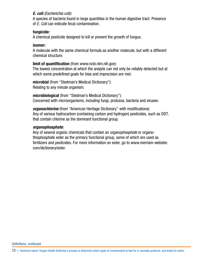### *E. coli (Escherichia coli):*

A species of bacteria found in large quantities in the human digestive tract. Presence of *E. Coli* can indicate fecal contamination.

### fungicide:

A chemical pesticide designed to kill or prevent the growth of fungus.

#### isomer:

A molecule with the same chemical formula as another molecule, but with a different chemical structure.

### limit of quantification (from www.ncbi.nlm.nih.gov):

The lowest concentration at which the analyte can not only be reliably detected but at which some predefined goals for bias and imprecision are met.

microbial (from "Stedman's Medical Dictionary"): Relating to any minute organism.

microbiological (from "Stedman's Medical Dictionary"): Concerned with microorganisms, including fungi, protozoa, bacteria and viruses.

*organochlorine* (from "American Heritage Dictionary" with modifications): Any of various hydrocarbon (containing carbon and hydrogen) pesticides, such as DDT, that contain chlorine as the dominant functional group.

### *organophosphate*:

Any of several organic chemicals that contain an *organophosphate* or organothiophosphate ester as the primary functional group, some of which are used as fertilizers and pesticides. For more information on ester, go to www.merriam-webster. com/dictionary/ester.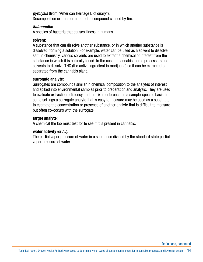*pyrolysis* (from "American Heritage Dictionary"): Decomposition or transformation of a compound caused by fire.

#### *Salmonella:*

A species of bacteria that causes illness in humans.

#### solvent:

A substance that can dissolve another substance, or in which another substance is dissolved, forming a solution. For example, water can be used as a solvent to dissolve salt. In chemistry, various solvents are used to extract a chemical of interest from the substance in which it is naturally found. In the case of cannabis, some processors use solvents to dissolve THC (the active ingredient in marijuana) so it can be extracted or separated from the cannabis plant.

#### surrogate analyte:

Surrogates are compounds similar in chemical composition to the analytes of interest and spiked into environmental samples prior to preparation and analysis. They are used to evaluate extraction efficiency and matrix interference on a sample-specific basis. In some settings a surrogate analyte that is easy to measure may be used as a substitute to estimate the concentration or presence of another analyte that is difficult to measure but often co-occurs with the surrogate.

#### target analyte:

A chemical the lab must test for to see if it is present in cannabis.

#### water activity (or  $A_w$ ):

The partial vapor pressure of water in a substance divided by the standard state partial vapor pressure of water.